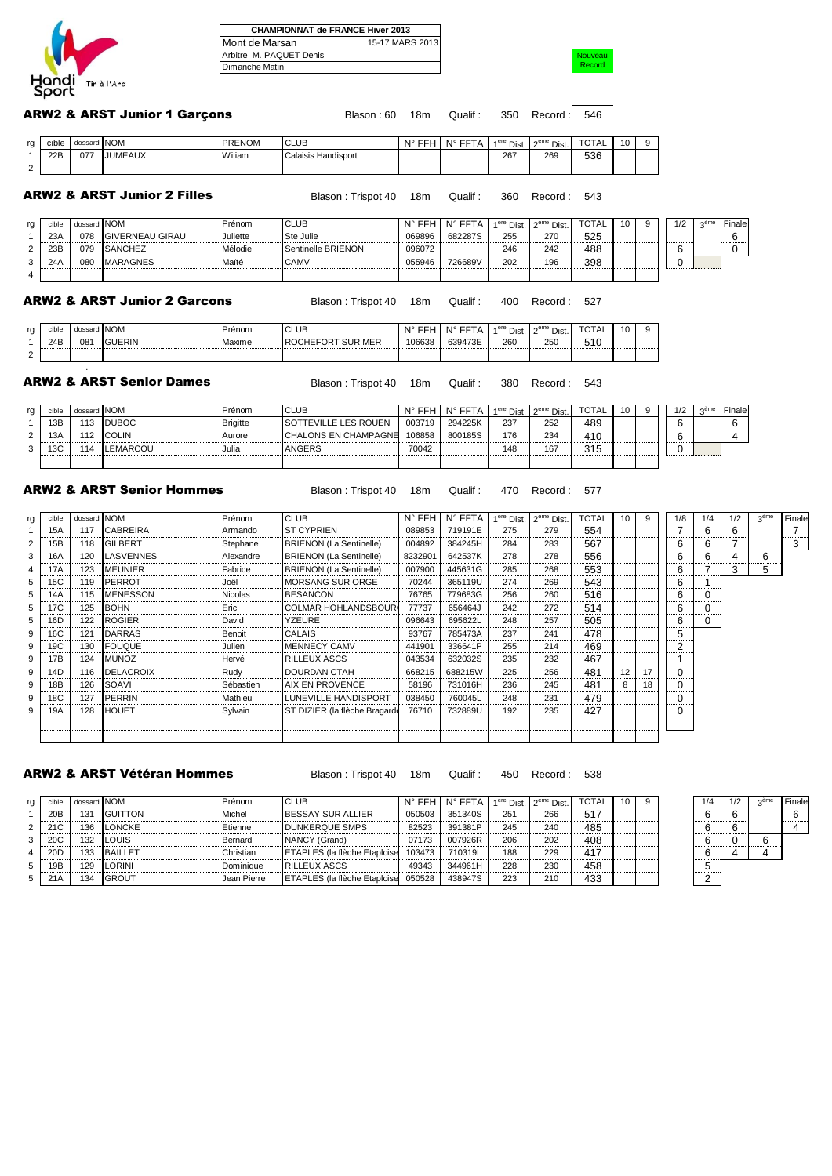

|                         | <b>CHAMPIONNAT de FRANCE Hiver 2013</b> |
|-------------------------|-----------------------------------------|
| Mont de Marsan          | 15-17 MARS 2013                         |
| Arbitre M. PAQUET Denis |                                         |
| Dimanche Matin          |                                         |

**Nouveau** Record

#### Blason : 60 18m Qualif : 350 Record : 546 ARW2 & ARST Junior 1 Garçons

| rg | cible | dossard | <b>NOM</b>                     | PRENOM | <b>CLUB</b>            | ᅐᄄᄔ<br>N°. | ---<br><b>NIº</b> | a ere<br>Dist. | $\sim$ eme<br>Dist. | $T\cap T$<br>'OTAL | 10 |  |
|----|-------|---------|--------------------------------|--------|------------------------|------------|-------------------|----------------|---------------------|--------------------|----|--|
|    | 22B   | 077     | <b>JUME</b><br>A 1 13.<br>=AUX | Wiliam | Calaisis<br>Handisport |            |                   | 267            | 269                 | 536                |    |  |
|    |       |         |                                |        |                        |            |                   |                |                     |                    |    |  |

# ARW2 & ARST Junior 2 Filles

Blason : Trispot 40 18m Qualif : 360 Record : 543

| rg          | CIDIE | dossard NOM |                 | Prénom   | <b>CLUB</b>        | N° FFH | N° 1    | 1 <sup>ere</sup> Dist. | $2^{\text{eme}}$ Dist.      | TOTAL | 10 | 1/2                                | $n$ eme | Finale |
|-------------|-------|-------------|-----------------|----------|--------------------|--------|---------|------------------------|-----------------------------|-------|----|------------------------------------|---------|--------|
|             | 23/   | 078<br>     | GIVERNEAU GIRAU | Juliette | Ste Julie          | 069896 | 682287S | 255                    | 270<br>.                    | 525   |    | <b>Longitude Companies Company</b> |         | .      |
| $\sim$      | 23F   | 079         | SANCHEZ         | Mélodie  | Sentinelle BRIENON | 096072 |         | 246                    | 242                         | 488   |    | <b>La construcción de</b>          |         |        |
| $\sim$<br>ັ | 24/   | 080         | <b>MARAGNES</b> | Maïté    | <b>CAMV</b>        | 055946 | 726689V | 202                    | 196<br>-------------------- | 398   |    |                                    |         |        |
|             |       |             |                 |          |                    |        |         |                        |                             |       |    |                                    |         |        |

#### ARW2 & ARST Junior 2 Garcons

Blason : Trispot 40 18m Qualif : 400 Record : 527

| rg       | cible | A<br>gossarg i | ' INOM.      | renom  | <b>CLUB</b>                                              | NI°    | <b>INTER</b><br>-- | ere Dist. | $\cap^{\rm eme}$ Dist. | 'UIAL | $\mathbf{u}$ |  |
|----------|-------|----------------|--------------|--------|----------------------------------------------------------|--------|--------------------|-----------|------------------------|-------|--------------|--|
|          | 24E   | 081            | <b>JERIN</b> | Maxime | : MER<br>.FOR <sup>+</sup><br><b>SUR</b><br><b>ROCHE</b> | 106638 | 639473E            | 260       | 250                    | 510   |              |  |
| <u>_</u> |       |                |              |        |                                                          |        |                    |           |                        |       |              |  |

# ARW2 & ARST Senior Dames

.

 $\overline{2}$ 

3 14SVENNES : Alexandre BRIENON (La Sentinelle) 8232901 642537K 278 278 556 416 656 1566 1566 1566 6 6 6 6 6 6<br>19 MEUNIER : Fabrice BRIENON (La Sentinelle) 007900 445631G 285 268 553 1563 1563 1564 1563 1563 1564 1563 15 4 17A 123 MEUNIER Fabrice BRIENON (La Sentinelle) 007900 445631G 285 268 553 7<br>5 15C 119 PERROT Joël MORSANG SUR ORGE 70244 365119U 274 269 543 7

Blason : Trispot 40 18m Qualif : 380 Record : 543

| rg | cible | dossard | <b>NOM</b>  | Prénom          | $\sim$                      |            | N١٩            | <sup>੍ਰਾe</sup> Dist. ∟ | $n$ em<br>Dist. | $-2-$           | 10 | 1/2                                | ome.<br>55118 | Finale |
|----|-------|---------|-------------|-----------------|-----------------------------|------------|----------------|-------------------------|-----------------|-----------------|----|------------------------------------|---------------|--------|
|    | 13E   |         | <b>IROC</b> | <b>Brigitte</b> | <b>EVILLE LES ROUEN</b>     | 003719<br> | <b>201225K</b> | 237<br>---------------  | 252             | 489             |    | <b>Longitude Companies Company</b> |               |        |
|    | ۹3⊬   | .       |             | Aurore          | <b>CHALONS EN CHAMPAGNE</b> | 106858     | 800185S        | 176                     | 234             | 41 <sub>0</sub> |    | .                                  |               |        |
|    | - -   |         |             | Julia           | <b>NGERS</b>                | 70042      |                | 148                     | $16^{-}$        | 311<br>۱۰ د     |    |                                    |               |        |
|    |       |         |             |                 |                             |            |                |                         |                 |                 |    |                                    |               |        |

## ARW2 & ARST Senior Hommes

#### Blason : Trispot 40 18m Qualif : 470 Record : 577

|                |             | <b>\RW2 &amp; ARST Senior Hommes</b> |           | Blason: Trispot 40 18m         |          | : Qualif                                     | 470 | Record: 577                                   |       |    |     |     |     |                  |        |
|----------------|-------------|--------------------------------------|-----------|--------------------------------|----------|----------------------------------------------|-----|-----------------------------------------------|-------|----|-----|-----|-----|------------------|--------|
| cible          | dossard NOM |                                      | Prénom    | <b>CLUB</b>                    |          | $N^{\circ}$ FFH $\mid N^{\circ}$ FFTA $\mid$ |     | 1 <sup>ere</sup> Dist. 2 <sup>eme</sup> Dist. | TOTAL | 10 | 1/8 | 1/4 | 1/2 | 3 <sup>eme</sup> | Finale |
| 15A            | 117         | <b>CABREIRA</b>                      | Armando   | <b>ST CYPRIEN</b>              | 089853   | 719191E                                      | 275 | 279                                           | 554   |    |     |     |     |                  |        |
| 15B            | 118         | <b>IGILBERT</b>                      | Stephane  | <b>BRIENON</b> (La Sentinelle) | 004892   | 384245H                                      | 284 | 283                                           | 567   |    |     |     |     |                  |        |
| 16A            | 120         | <b>LASVENNES</b>                     | Alexandre | <b>BRIENON</b> (La Sentinelle) | 8232901  | 642537K                                      | 278 | 278                                           | 556   |    |     |     |     |                  |        |
| <i>Δ</i>   17Δ | 123         | <b>IMELINIER</b>                     | Fabrice   | RRIENON (La Sentinelle)        | nnzann I | $A$ 45631 $C$                                | 285 | 268                                           | 553   |    |     |     |     |                  |        |

| 15C | 119 | <b>PERROT</b>    | Joël           | IMORSANG SUR ORGE             | 70244  | 365119U | 274 | 269 | 543 |    |    | 6 |  |
|-----|-----|------------------|----------------|-------------------------------|--------|---------|-----|-----|-----|----|----|---|--|
| 14A | 115 | <b>MENESSON</b>  | <b>Nicolas</b> | <b>BESANCON</b>               | 76765  | 779683G | 256 | 260 | 516 |    |    | 6 |  |
| 17C | 125 | <b>BOHN</b>      | Eric           | ICOLMAR HOHLANDSBOUR≬         | 77737  | 656464J | 242 | 272 | 514 |    |    | ี |  |
| 16D | 122 | <b>ROGIER</b>    | David          | <b>YZEURE</b>                 | 096643 | 695622L | 248 | 257 | 505 |    |    | 6 |  |
| 16C | 121 | DARRAS           | Benoit         | CALAIS                        | 93767  | 785473A | 237 | 241 | 478 |    |    |   |  |
| 19C | 130 | <b>FOUQUE</b>    | Julien         | MENNECY CAMV                  | 441901 | 336641P | 255 | 214 | 469 |    |    |   |  |
| 17B | 124 | <b>MUNOZ</b>     | Hervé          | <b>RILLEUX ASCS</b>           | 043534 | 632032S | 235 | 232 | 467 |    |    |   |  |
| 14D | 116 | <b>DELACROIX</b> | Rudv           | DOURDAN CTAH                  | 668215 | 688215W | 225 | 256 | 481 | 12 |    |   |  |
| 18B | 126 | SOAVI            | Sébastien      | <b>AIX EN PROVENCE</b>        | 58196  | 731016H | 236 | 245 | 481 | 8  | 18 |   |  |
| 18C | 127 | <b>PERRIN</b>    | Mathieu        | LUNEVILLE HANDISPORT          | 038450 | 760045L | 248 | 231 | 479 |    |    |   |  |
| 19A | 128 | <b>HOUET</b>     | Sylvain        | ST DIZIER (la flèche Bragarde | 76710  | 732889U | 192 | 235 | 427 |    |    |   |  |
|     |     |                  |                |                               |        |         |     |     |     |    |    |   |  |
|     |     |                  |                |                               |        |         |     |     |     |    |    |   |  |

| U<br> |  |  |  |
|-------|--|--|--|
| 0     |  |  |  |
| 0     |  |  |  |
|       |  |  |  |
|       |  |  |  |
|       |  |  |  |
|       |  |  |  |
|       |  |  |  |
|       |  |  |  |

## ARW2 & ARST Vétéran Hommes

Blason : Trispot 40 18m Qualif : 450 Record : 538

| rg | cible           | dossard NOM |                | Prénom      | <b>CLUB</b>                          |        | N° FFH   N° FFTA   1 <sup>ere</sup> Dist.   2 <sup>eme</sup> Dist. |     |            | <b>TOTAL</b> | 10 | 9 | 1/4 | 1/2 | 2 <sup>ème</sup> | Fin |
|----|-----------------|-------------|----------------|-------------|--------------------------------------|--------|--------------------------------------------------------------------|-----|------------|--------------|----|---|-----|-----|------------------|-----|
|    | 20B             | 131         | <b>GUITTON</b> | Michel      | <b>BESSAY SUR ALLIER</b>             | 050503 | 351340S                                                            | 251 | 266        | 517          |    |   |     |     |                  |     |
|    | 21C             | 136         | <b>LONCKE</b>  | Etienne     | <b>DUNKERQUE SMPS</b>                | 82523  | 391381P                                                            | 245 | <b>240</b> | 485          |    |   |     |     |                  |     |
|    | 20 <sub>C</sub> | 132         | LOUIS          | Bernard     | NANCY (Grand)                        | 07173  | 007926R                                                            | 206 | 202        | 408          |    |   |     |     |                  |     |
|    | 20D             | 133         | <b>BAILLET</b> | Christian   | <b>ETAPLES</b> (la flèche Etaploise) | 103473 | 710319L                                                            | 188 | 229        | 41           |    |   |     |     |                  |     |
|    | 19B             | 129         | <b>LORINI</b>  | Dominique   | <b>RILLEUX ASCS</b>                  | 49343  | 344961H                                                            | 228 | <b>230</b> | 458          |    |   | .   |     |                  |     |
| 5. | 21A             | 134         | <b>IGROUT</b>  | Jean Pierre | <b>ETAPLES</b> (la flèche Etaploise  | 050528 | 438947S                                                            | 223 | 210        | 433          |    |   |     |     |                  |     |

| 1/4            | 1/2 | 3 <sup>ème</sup> | Finale |
|----------------|-----|------------------|--------|
| 6              | 6   |                  | 6      |
| 6              | 6   |                  |        |
| 6              |     | 6                |        |
| 6              |     |                  |        |
| $\overline{5}$ |     |                  |        |
| 2              |     |                  |        |